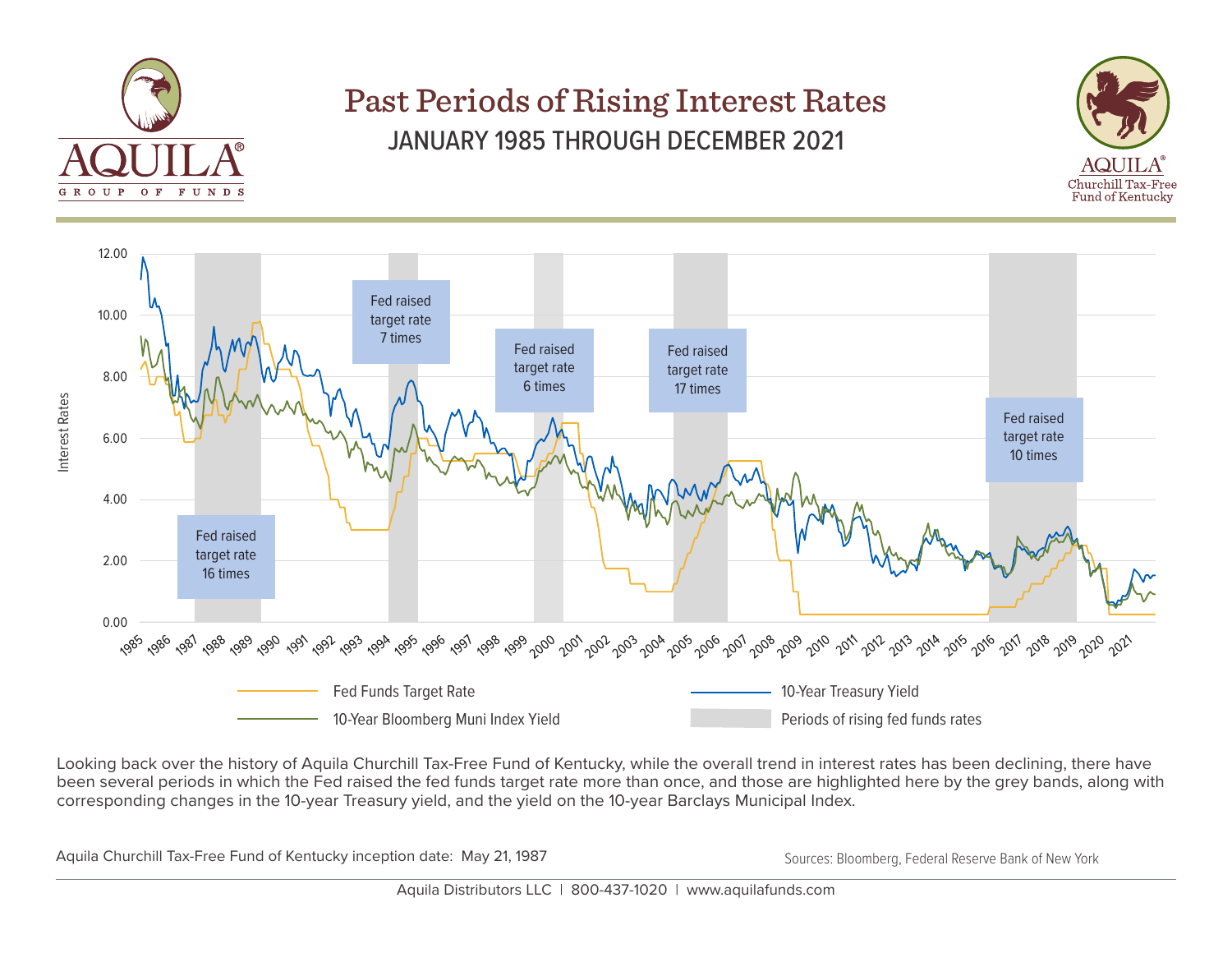

## Past Periods of Rising Interest Rates JANUARY 1985 THROUGH DECEMBER 2021





Looking back over the history of Aquila Churchill Tax-Free Fund of Kentucky, while the overall trend in interest rates has been declining, there have been several periods in which the Fed raised the fed funds target rate more than once, and those are highlighted here by the grey bands, along with corresponding changes in the 10-year Treasury yield, and the yield on the 10-year Barclays Municipal Index.

Aquila Churchill Tax-Free Fund of Kentucky inception date: May 21, 1987 Sources: Bloomberg, Federal Reserve Bank of New York